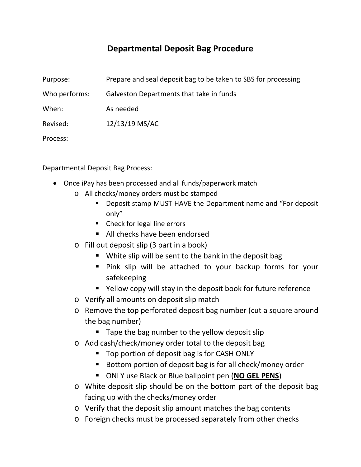## **Departmental Deposit Bag Procedure**

| Purpose:      | Prepare and seal deposit bag to be taken to SBS for processing |
|---------------|----------------------------------------------------------------|
| Who performs: | Galveston Departments that take in funds                       |
| When:         | As needed                                                      |
| Revised:      | 12/13/19 MS/AC                                                 |
| Process:      |                                                                |

Departmental Deposit Bag Process:

- Once iPay has been processed and all funds/paperwork match
	- o All checks/money orders must be stamped
		- **Deposit stamp MUST HAVE the Department name and "For deposit"** only"
		- Check for legal line errors
		- All checks have been endorsed
	- o Fill out deposit slip (3 part in a book)
		- White slip will be sent to the bank in the deposit bag
		- Pink slip will be attached to your backup forms for your safekeeping
		- Yellow copy will stay in the deposit book for future reference
	- o Verify all amounts on deposit slip match
	- o Remove the top perforated deposit bag number (cut a square around the bag number)
		- Tape the bag number to the yellow deposit slip
	- o Add cash/check/money order total to the deposit bag
		- Top portion of deposit bag is for CASH ONLY
		- Bottom portion of deposit bag is for all check/money order
		- ONLY use Black or Blue ballpoint pen (**NO GEL PENS**)
	- o White deposit slip should be on the bottom part of the deposit bag facing up with the checks/money order
	- o Verify that the deposit slip amount matches the bag contents
	- o Foreign checks must be processed separately from other checks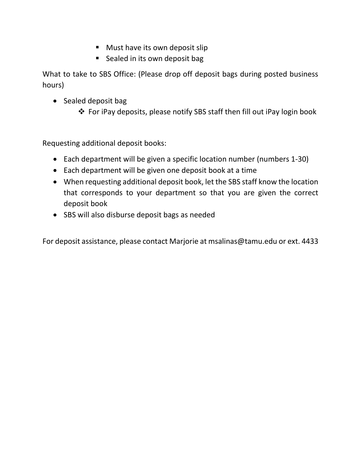- **Must have its own deposit slip**
- Sealed in its own deposit bag

What to take to SBS Office: (Please drop off deposit bags during posted business hours)

- Sealed deposit bag
	- For iPay deposits, please notify SBS staff then fill out iPay login book

Requesting additional deposit books:

- Each department will be given a specific location number (numbers 1-30)
- Each department will be given one deposit book at a time
- When requesting additional deposit book, let the SBS staff know the location that corresponds to your department so that you are given the correct deposit book
- SBS will also disburse deposit bags as needed

For deposit assistance, please contact Marjorie at msalinas@tamu.edu or ext. 4433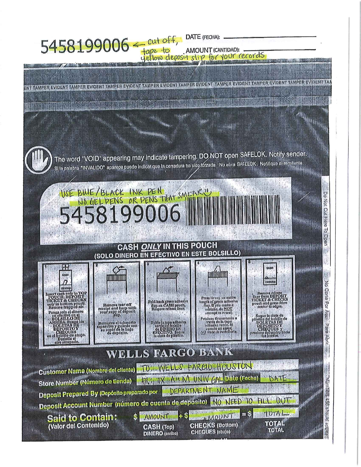